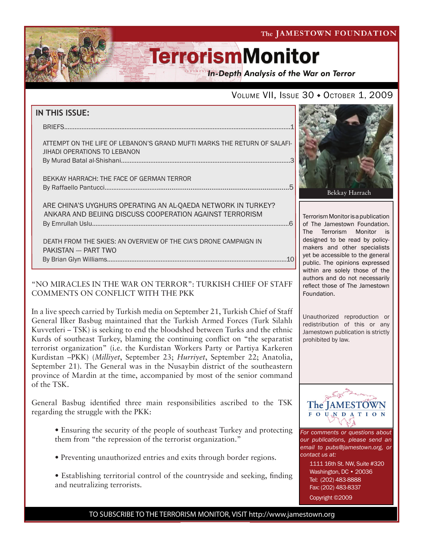The JAMESTOWN FOUNDATION

# **TerrorismMonitor**

**In-Depth Analysis of the War on Terror** 

### VOLUME VII, ISSUE 30 + OCTOBER 1, 2009

| <b>IN THIS ISSUE:</b>                                                                                                    |  |
|--------------------------------------------------------------------------------------------------------------------------|--|
| <b>BRIEFS</b>                                                                                                            |  |
| ATTEMPT ON THE LIFE OF LEBANON'S GRAND MUFTI MARKS THE RETURN OF SALAFI-<br>JIHADI OPERATIONS TO LEBANON                 |  |
|                                                                                                                          |  |
| BEKKAY HARRACH: THE FACE OF GERMAN TERROR                                                                                |  |
| ARE CHINA'S UYGHURS OPERATING AN AL-QAEDA NETWORK IN TURKEY?<br>ANKARA AND BEIJING DISCUSS COOPERATION AGAINST TERRORISM |  |
| DEATH FROM THE SKIES: AN OVERVIEW OF THE CIA'S DRONE CAMPAIGN IN                                                         |  |

 death from the skies: an overview of the cia's drone campaign in pakistan --- Part two By Brian Glyn Williams........................................................................................................10

ł

### "NO MIRACLES IN THE WAR ON TERROR": TURKISH CHIEF OF STAFF COMMENTS ON CONFLICT WITH THE PKK

In a live speech carried by Turkish media on September 21, Turkish Chief of Staff General Ilker Basbug maintained that the Turkish Armed Forces (Turk Silahlı Kuvvetleri – TSK) is seeking to end the bloodshed between Turks and the ethnic Kurds of southeast Turkey, blaming the continuing conflict on "the separatist terrorist organization" (i.e. the Kurdistan Workers Party or Partiya Karkeren Kurdistan –PKK) (*Milliyet*, September 23; *Hurriyet*, September 22; Anatolia, September 21). The General was in the Nusaybin district of the southeastern province of Mardin at the time, accompanied by most of the senior command of the TSK.

General Basbug identified three main responsibilities ascribed to the TSK regarding the struggle with the PKK:

- Ensuring the security of the people of southeast Turkey and protecting them from "the repression of the terrorist organization."
- Preventing unauthorized entries and exits through border regions.
- Establishing territorial control of the countryside and seeking, finding and neutralizing terrorists.



Terrorism Monitor is a publication of The Jamestown Foundation. The Terrorism Monitor is designed to be read by policymakers and other specialists yet be accessible to the general public. The opinions expressed within are solely those of the authors and do not necessarily reflect those of The Jamestown Foundation.

Unauthorized reproduction or redistribution of this or any Jamestown publication is strictly prohibited by law.



*For comments or questions about our publications, please send an email to pubs@jamestown.org, or contact us at:* 

> 1111 16th St. NW, Suite #320 Washington, DC • 20036 Tel: (202) 483-8888 Fax: (202) 483-8337

Copyright ©2009

TO SUBSCRIBE TO THE TERRORISM MONITOR, VISIT http://www.jamestown.org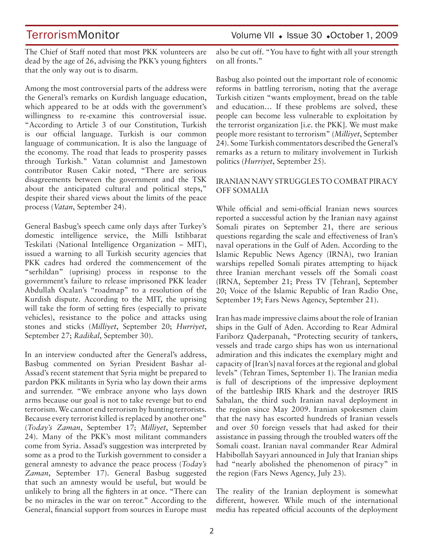The Chief of Staff noted that most PKK volunteers are dead by the age of 26, advising the PKK's young fighters that the only way out is to disarm.

Among the most controversial parts of the address were the General's remarks on Kurdish language education, which appeared to be at odds with the government's willingness to re-examine this controversial issue. "According to Article 3 of our Constitution, Turkish is our official language. Turkish is our common language of communication. It is also the language of the economy. The road that leads to prosperity passes through Turkish." Vatan columnist and Jamestown contributor Rusen Cakir noted, "There are serious disagreements between the government and the TSK about the anticipated cultural and political steps," despite their shared views about the limits of the peace process (*Vatan*, September 24).

General Basbug's speech came only days after Turkey's domestic intelligence service, the Milli Istihbarat Teskilati (National Intelligence Organization – MIT), issued a warning to all Turkish security agencies that PKK cadres had ordered the commencement of the "serhildan" (uprising) process in response to the government's failure to release imprisoned PKK leader Abdullah Ocalan's "roadmap" to a resolution of the Kurdish dispute. According to the MIT, the uprising will take the form of setting fires (especially to private vehicles), resistance to the police and attacks using stones and sticks (*Milliyet*, September 20; *Hurriyet*, September 27; *Radikal*, September 30).

In an interview conducted after the General's address, Basbug commented on Syrian President Bashar al-Assad's recent statement that Syria might be prepared to pardon PKK militants in Syria who lay down their arms and surrender. "We embrace anyone who lays down arms because our goal is not to take revenge but to end terrorism. We cannot end terrorism by hunting terrorists. Because every terrorist killed is replaced by another one" (*Today's Zaman*, September 17; *Milliyet*, September 24). Many of the PKK's most militant commanders come from Syria. Assad's suggestion was interpreted by some as a prod to the Turkish government to consider a general amnesty to advance the peace process (*Today's Zaman*, September 17). General Basbug suggested that such an amnesty would be useful, but would be unlikely to bring all the fighters in at once. "There can be no miracles in the war on terror." According to the General, financial support from sources in Europe must

TerrorismMonitor Volume VII + Issue 30 +October 1, 2009

also be cut off. "You have to fight with all your strength on all fronts."

Basbug also pointed out the important role of economic reforms in battling terrorism, noting that the average Turkish citizen "wants employment, bread on the table and education… If these problems are solved, these people can become less vulnerable to exploitation by the terrorist organization [i.e. the PKK]. We must make people more resistant to terrorism" (*Milliyet*, September 24). Some Turkish commentators described the General's remarks as a return to military involvement in Turkish politics (*Hurriyet*, September 25).

### IRANIAN NAVY STRUGGLES TO COMBAT PIRACY OFF SOMALIA

While official and semi-official Iranian news sources reported a successful action by the Iranian navy against Somali pirates on September 21, there are serious questions regarding the scale and effectiveness of Iran's naval operations in the Gulf of Aden. According to the Islamic Republic News Agency (IRNA), two Iranian warships repelled Somali pirates attempting to hijack three Iranian merchant vessels off the Somali coast (IRNA, September 21; Press TV [Tehran], September 20; Voice of the Islamic Republic of Iran Radio One, September 19; Fars News Agency, September 21).

Iran has made impressive claims about the role of Iranian ships in the Gulf of Aden. According to Rear Admiral Fariborz Qaderpanah, "Protecting security of tankers, vessels and trade cargo ships has won us international admiration and this indicates the exemplary might and capacity of [Iran's] naval forces at the regional and global levels" (Tehran Times, September 1). The Iranian media is full of descriptions of the impressive deployment of the battleship IRIS Khark and the destroyer IRIS Sabalan, the third such Iranian naval deployment in the region since May 2009. Iranian spokesmen claim that the navy has escorted hundreds of Iranian vessels and over 50 foreign vessels that had asked for their assistance in passing through the troubled waters off the Somali coast. Iranian naval commander Rear Admiral Habibollah Sayyari announced in July that Iranian ships had "nearly abolished the phenomenon of piracy" in the region (Fars News Agency, July 23).

The reality of the Iranian deployment is somewhat different, however. While much of the international media has repeated official accounts of the deployment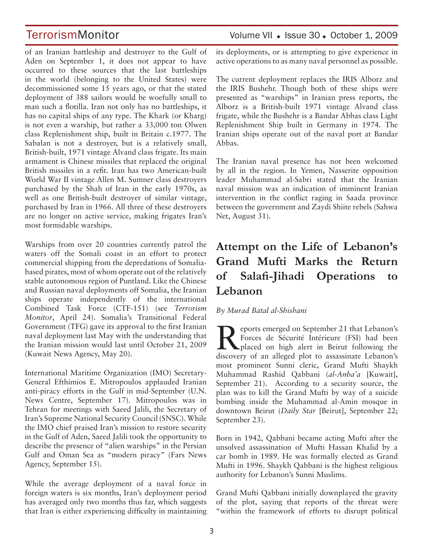of an Iranian battleship and destroyer to the Gulf of Aden on September 1, it does not appear to have occurred to these sources that the last battleships in the world (belonging to the United States) were decommissioned some 15 years ago, or that the stated deployment of 388 sailors would be woefully small to man such a flotilla. Iran not only has no battleships, it has no capital ships of any type. The Khark (or Kharg) is not even a warship, but rather a 33,000 ton Olwen class Replenishment ship, built in Britain c.1977. The Sabalan is not a destroyer, but is a relatively small, British-built, 1971 vintage Alvand class frigate. Its main armament is Chinese missiles that replaced the original British missiles in a refit. Iran has two American-built World War II vintage Allen M. Sumner class destroyers purchased by the Shah of Iran in the early 1970s, as well as one British-built destroyer of similar vintage, purchased by Iran in 1966. All three of these destroyers are no longer on active service, making frigates Iran's most formidable warships.

Warships from over 20 countries currently patrol the waters off the Somali coast in an effort to protect commercial shipping from the depredations of Somaliabased pirates, most of whom operate out of the relatively stable autonomous region of Puntland. Like the Chinese and Russian naval deployments off Somalia, the Iranian ships operate independently of the international Combined Task Force (CTF-151) (see *Terrorism Monitor*, April 24). Somalia's Transitional Federal Government (TFG) gave its approval to the first Iranian naval deployment last May with the understanding that the Iranian mission would last until October 21, 2009 (Kuwait News Agency, May 20).

International Maritime Organization (IMO) Secretary-General Efthimios E. Mitropoulos applauded Iranian anti-piracy efforts in the Gulf in mid-September (U.N. News Centre, September 17). Mitropoulos was in Tehran for meetings with Saeed Jalili, the Secretary of Iran's Supreme National Security Council (SNSC). While the IMO chief praised Iran's mission to restore security in the Gulf of Aden, Saeed Jalili took the opportunity to describe the presence of "alien warships" in the Persian Gulf and Oman Sea as "modern piracy" (Fars News Agency, September 15).

While the average deployment of a naval force in foreign waters is six months, Iran's deployment period has averaged only two months thus far, which suggests that Iran is either experiencing difficulty in maintaining

## TerrorismMonitor Volume VII + Issue 30 + October 1, 2009

its deployments, or is attempting to give experience in active operations to as many naval personnel as possible.

The current deployment replaces the IRIS Alborz and the IRIS Bushehr. Though both of these ships were presented as "warships" in Iranian press reports, the Alborz is a British-built 1971 vintage Alvand class frigate, while the Bushehr is a Bandar Abbas class Light Replenishment Ship built in Germany in 1974. The Iranian ships operate out of the naval port at Bandar Abbas.

The Iranian naval presence has not been welcomed by all in the region. In Yemen, Nasserite opposition leader Muhammad al-Sabri stated that the Iranian naval mission was an indication of imminent Iranian intervention in the conflict raging in Saada province between the government and Zaydi Shiite rebels (Sahwa Net, August 31).

# **Attempt on the Life of Lebanon's Grand Mufti Marks the Return of Salafi-Jihadi Operations to Lebanon**

### *By Murad Batal al-Shishani*

**Reports emerged on September 21 that Lebanon's**<br>
Forces de Sécurité Intérieure (FSI) had been<br>
placed on high alert in Beirut following the<br>
discovery of an allocad plat to associants I abanca's Forces de Sécurité Intérieure (FSI) had been discovery of an alleged plot to assassinate Lebanon's most prominent Sunni cleric, Grand Mufti Shaykh Muhammad Rashid Qabbani (*al-Anba'a* [Kuwait], September 21). According to a security source, the plan was to kill the Grand Mufti by way of a suicide bombing inside the Muhammad al-Amin mosque in downtown Beirut (*Daily Star* [Beirut], September 22; September 23).

Born in 1942, Qabbani became acting Mufti after the unsolved assassination of Mufti Hassan Khalid by a car bomb in 1989. He was formally elected as Grand Mufti in 1996. Shaykh Qabbani is the highest religious authority for Lebanon's Sunni Muslims.

Grand Mufti Qabbani initially downplayed the gravity of the plot, saying that reports of the threat were "within the framework of efforts to disrupt political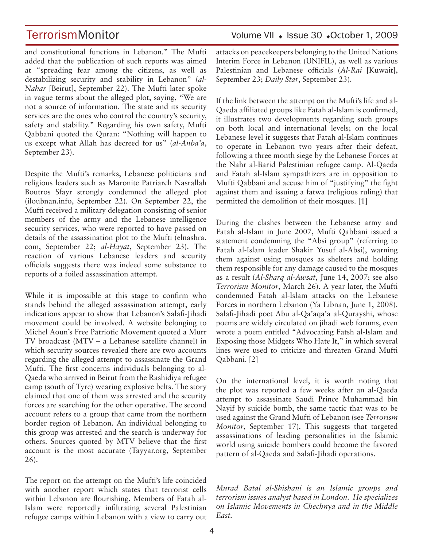and constitutional functions in Lebanon." The Mufti added that the publication of such reports was aimed at "spreading fear among the citizens, as well as destabilizing security and stability in Lebanon" (*al-Nahar* [Beirut], September 22). The Mufti later spoke in vague terms about the alleged plot, saying, "We are not a source of information. The state and its security services are the ones who control the country's security, safety and stability." Regarding his own safety, Mufti Qabbani quoted the Quran: "Nothing will happen to us except what Allah has decreed for us" (*al-Anba'a*, September 23).

Despite the Mufti's remarks, Lebanese politicians and religious leaders such as Maronite Patriarch Nasrallah Boutros Sfayr strongly condemned the alleged plot (iloubnan.info, September 22). On September 22, the Mufti received a military delegation consisting of senior members of the army and the Lebanese intelligence security services, who were reported to have passed on details of the assassination plot to the Mufti (elnashra. com, September 22; *al-Hayat*, September 23). The reaction of various Lebanese leaders and security officials suggests there was indeed some substance to reports of a foiled assassination attempt.

While it is impossible at this stage to confirm who stands behind the alleged assassination attempt, early indications appear to show that Lebanon's Salafi-Jihadi movement could be involved. A website belonging to Michel Aoun's Free Patriotic Movement quoted a Murr TV broadcast (MTV – a Lebanese satellite channel) in which security sources revealed there are two accounts regarding the alleged attempt to assassinate the Grand Mufti. The first concerns individuals belonging to al-Qaeda who arrived in Beirut from the Rashidiya refugee camp (south of Tyre) wearing explosive belts. The story claimed that one of them was arrested and the security forces are searching for the other operative. The second account refers to a group that came from the northern border region of Lebanon. An individual belonging to this group was arrested and the search is underway for others. Sources quoted by MTV believe that the first account is the most accurate (Tayyar.org, September 26).

The report on the attempt on the Mufti's life coincided with another report which states that terrorist cells within Lebanon are flourishing. Members of Fatah al-Islam were reportedly infiltrating several Palestinian refugee camps within Lebanon with a view to carry out

## TerrorismMonitor Volume VII + Issue 30 +October 1, 2009

attacks on peacekeepers belonging to the United Nations Interim Force in Lebanon (UNIFIL), as well as various Palestinian and Lebanese officials (*Al-Rai* [Kuwait], September 23; *Daily Star*, September 23).

If the link between the attempt on the Mufti's life and al-Qaeda affiliated groups like Fatah al-Islam is confirmed, it illustrates two developments regarding such groups on both local and international levels; on the local Lebanese level it suggests that Fatah al-Islam continues to operate in Lebanon two years after their defeat, following a three month siege by the Lebanese Forces at the Nahr al-Barid Palestinian refugee camp. Al-Qaeda and Fatah al-Islam sympathizers are in opposition to Mufti Qabbani and accuse him of "justifying" the fight against them and issuing a fatwa (religious ruling) that permitted the demolition of their mosques. [1]

During the clashes between the Lebanese army and Fatah al-Islam in June 2007, Mufti Qabbani issued a statement condemning the "Absi group" (referring to Fatah al-Islam leader Shakir Yusuf al-Absi), warning them against using mosques as shelters and holding them responsible for any damage caused to the mosques as a result (*Al-Sharq al-Awsat*, June 14, 2007; see also *Terrorism Monitor*, March 26). A year later, the Mufti condemned Fatah al-Islam attacks on the Lebanese Forces in northern Lebanon (Ya Libnan, June 1, 2008). Salafi-Jihadi poet Abu al-Qa'aqa'a al-Qurayshi, whose poems are widely circulated on jihadi web forums, even wrote a poem entitled "Advocating Fatsh al-Islam and Exposing those Midgets Who Hate It," in which several lines were used to criticize and threaten Grand Mufti Qabbani. [2]

On the international level, it is worth noting that the plot was reported a few weeks after an al-Qaeda attempt to assassinate Saudi Prince Muhammad bin Nayif by suicide bomb, the same tactic that was to be used against the Grand Mufti of Lebanon (see *Terrorism Monitor*, September 17). This suggests that targeted assassinations of leading personalities in the Islamic world using suicide bombers could become the favored pattern of al-Qaeda and Salafi-Jihadi operations.

*Murad Batal al-Shishani is an Islamic groups and terrorism issues analyst based in London. He specializes on Islamic Movements in Chechnya and in the Middle East.*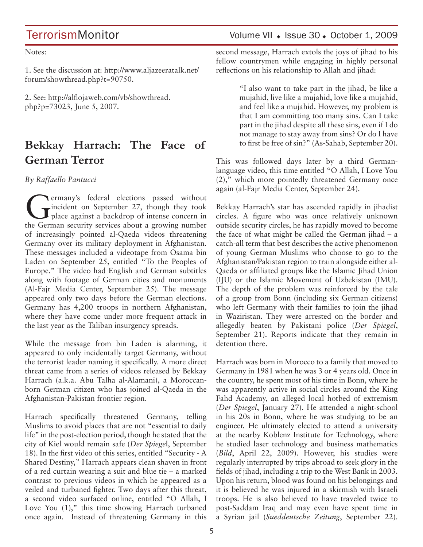Notes:

1. See the discussion at: http://www.aljazeeratalk.net/ forum/showthread.php?t=90750.

2. See: http://alflojaweb.com/vb/showthread. php?p=73023, June 5, 2007.

# **Bekkay Harrach: The Face of German Terror**

*By Raffaello Pantucci* 

Germany's federal elections passed without<br>place against a backdrop of intense concern in<br>the German assurity equiped about a graving number incident on September 27, though they took place against a backdrop of intense concern in the German security services about a growing number of increasingly pointed al-Qaeda videos threatening Germany over its military deployment in Afghanistan. These messages included a videotape from Osama bin Laden on September 25, entitled "To the Peoples of Europe." The video had English and German subtitles along with footage of German cities and monuments (Al-Fajr Media Center, September 25). The message appeared only two days before the German elections. Germany has 4,200 troops in northern Afghanistan, where they have come under more frequent attack in the last year as the Taliban insurgency spreads.

While the message from bin Laden is alarming, it appeared to only incidentally target Germany, without the terrorist leader naming it specifically. A more direct threat came from a series of videos released by Bekkay Harrach (a.k.a. Abu Talha al-Alamani), a Moroccanborn German citizen who has joined al-Qaeda in the Afghanistan-Pakistan frontier region.

Harrach specifically threatened Germany, telling Muslims to avoid places that are not "essential to daily life" in the post-election period, though he stated that the city of Kiel would remain safe (*Der Spiege*l, September 18). In the first video of this series, entitled "Security - A Shared Destiny," Harrach appears clean shaven in front of a red curtain wearing a suit and blue tie – a marked contrast to previous videos in which he appeared as a veiled and turbaned fighter. Two days after this threat, a second video surfaced online, entitled "O Allah, I Love You (1)," this time showing Harrach turbaned once again. Instead of threatening Germany in this

TerrorismMonitor Volume VII + Issue 30 + October 1, 2009

second message, Harrach extols the joys of jihad to his fellow countrymen while engaging in highly personal reflections on his relationship to Allah and jihad:

> "I also want to take part in the jihad, be like a mujahid, live like a mujahid, love like a mujahid, and feel like a mujahid. However, my problem is that I am committing too many sins. Can I take part in the jihad despite all these sins, even if I do not manage to stay away from sins? Or do I have to first be free of sin?" (As-Sahab, September 20).

This was followed days later by a third Germanlanguage video, this time entitled "O Allah, I Love You (2)," which more pointedly threatened Germany once again (al-Fajr Media Center, September 24).

Bekkay Harrach's star has ascended rapidly in jihadist circles. A figure who was once relatively unknown outside security circles, he has rapidly moved to become the face of what might be called the German jihad – a catch-all term that best describes the active phenomenon of young German Muslims who choose to go to the Afghanistan/Pakistan region to train alongside either al-Qaeda or affiliated groups like the Islamic Jihad Union (IJU) or the Islamic Movement of Uzbekistan (IMU). The depth of the problem was reinforced by the tale of a group from Bonn (including six German citizens) who left Germany with their families to join the jihad in Waziristan. They were arrested on the border and allegedly beaten by Pakistani police (*Der Spiegel*, September 21). Reports indicate that they remain in detention there.

Harrach was born in Morocco to a family that moved to Germany in 1981 when he was 3 or 4 years old. Once in the country, he spent most of his time in Bonn, where he was apparently active in social circles around the King Fahd Academy, an alleged local hotbed of extremism (*Der Spiegel*, January 27). He attended a night-school in his 20s in Bonn, where he was studying to be an engineer. He ultimately elected to attend a university at the nearby Koblenz Institute for Technology, where he studied laser technology and business mathematics (*Bild*, April 22, 2009). However, his studies were regularly interrupted by trips abroad to seek glory in the fields of jihad, including a trip to the West Bank in 2003. Upon his return, blood was found on his belongings and it is believed he was injured in a skirmish with Israeli troops. He is also believed to have traveled twice to post-Saddam Iraq and may even have spent time in a Syrian jail (*Sueddeutsche Zeitung*, September 22).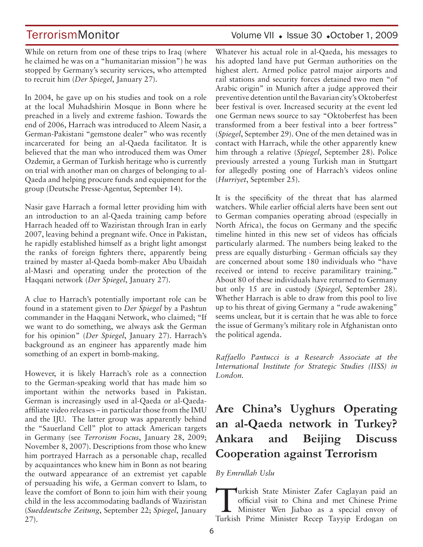TerrorismMonitor Volume VII + Issue 30 +October 1, 2009

While on return from one of these trips to Iraq (where he claimed he was on a "humanitarian mission") he was stopped by Germany's security services, who attempted to recruit him (*Der Spiegel*, January 27).

In 2004, he gave up on his studies and took on a role at the local Muhadshirin Mosque in Bonn where he preached in a lively and extreme fashion. Towards the end of 2006, Harrach was introduced to Aleem Nasir, a German-Pakistani "gemstone dealer" who was recently incarcerated for being an al-Qaeda facilitator. It is believed that the man who introduced them was Omer Ozdemir, a German of Turkish heritage who is currently on trial with another man on charges of belonging to al-Qaeda and helping procure funds and equipment for the group (Deutsche Presse-Agentur, September 14).

Nasir gave Harrach a formal letter providing him with an introduction to an al-Qaeda training camp before Harrach headed off to Waziristan through Iran in early 2007, leaving behind a pregnant wife. Once in Pakistan, he rapidly established himself as a bright light amongst the ranks of foreign fighters there, apparently being trained by master al-Qaeda bomb-maker Abu Ubaidah al-Masri and operating under the protection of the Haqqani network (*Der Spiegel*, January 27).

A clue to Harrach's potentially important role can be found in a statement given to *Der Spiegel* by a Pashtun commander in the Haqqani Network, who claimed; "If we want to do something, we always ask the German for his opinion" (*Der Spiegel*, January 27). Harrach's background as an engineer has apparently made him something of an expert in bomb-making.

However, it is likely Harrach's role as a connection to the German-speaking world that has made him so important within the networks based in Pakistan. German is increasingly used in al-Qaeda or al-Qaedaaffiliate video releases – in particular those from the IMU and the IJU. The latter group was apparently behind the "Sauerland Cell" plot to attack American targets in Germany (see *Terrorism Focus*, January 28, 2009; November 8, 2007). Descriptions from those who knew him portrayed Harrach as a personable chap, recalled by acquaintances who knew him in Bonn as not bearing the outward appearance of an extremist yet capable of persuading his wife, a German convert to Islam, to leave the comfort of Bonn to join him with their young child in the less accommodating badlands of Waziristan (*Sueddeutsche Zeitung*, September 22; *Spiegel*, January 27).

Whatever his actual role in al-Qaeda, his messages to his adopted land have put German authorities on the highest alert. Armed police patrol major airports and rail stations and security forces detained two men "of Arabic origin" in Munich after a judge approved their preventive detention until the Bavarian city's Oktoberfest beer festival is over. Increased security at the event led one German news source to say "Oktoberfest has been transformed from a beer festival into a beer fortress" (*Spiegel*, September 29). One of the men detained was in contact with Harrach, while the other apparently knew him through a relative (*Spiegel*, September 28). Police previously arrested a young Turkish man in Stuttgart for allegedly posting one of Harrach's videos online (*Hurriyet*, September 25).

It is the specificity of the threat that has alarmed watchers. While earlier official alerts have been sent out to German companies operating abroad (especially in North Africa), the focus on Germany and the specific timeline hinted in this new set of videos has officials particularly alarmed. The numbers being leaked to the press are equally disturbing - German officials say they are concerned about some 180 individuals who "have received or intend to receive paramilitary training." About 80 of these individuals have returned to Germany but only 15 are in custody (*Spiegel*, September 28). Whether Harrach is able to draw from this pool to live up to his threat of giving Germany a "rude awakening" seems unclear, but it is certain that he was able to force the issue of Germany's military role in Afghanistan onto the political agenda.

*Raffaello Pantucci is a Research Associate at the International Institute for Strategic Studies (IISS) in London.*

# **Are China's Uyghurs Operating an al-Qaeda network in Turkey? Ankara and Beijing Discuss Cooperation against Terrorism**

### *By Emrullah Uslu*

Turkish State Minister Zafer Caglayan paid an<br>official visit to China and met Chinese Prime<br>Minister Wen Jiabao as a special envoy of official visit to China and met Chinese Prime Minister Wen Jiabao as a special envoy of Turkish Prime Minister Recep Tayyip Erdogan on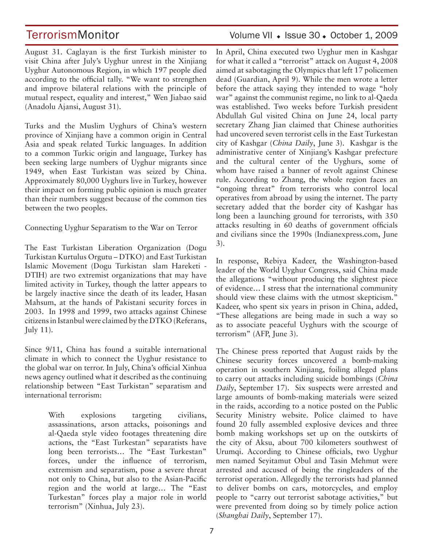TerrorismMonitor Volume VII + Issue 30 + October 1, 2009

August 31. Caglayan is the first Turkish minister to visit China after July's Uyghur unrest in the Xinjiang Uyghur Autonomous Region, in which 197 people died according to the official tally. "We want to strengthen and improve bilateral relations with the principle of mutual respect, equality and interest," Wen Jiabao said (Anadolu Ajansi, August 31).

Turks and the Muslim Uyghurs of China's western province of Xinjiang have a common origin in Central Asia and speak related Turkic languages. In addition to a common Turkic origin and language, Turkey has been seeking large numbers of Uyghur migrants since 1949, when East Turkistan was seized by China. Approximately 80,000 Uyghurs live in Turkey, however their impact on forming public opinion is much greater than their numbers suggest because of the common ties between the two peoples.

Connecting Uyghur Separatism to the War on Terror

The East Turkistan Liberation Organization (Dogu Turkistan Kurtulus Orgutu – DTKO) and East Turkistan Islamic Movement (Dogu Turkistan slam Hareketi -DTIH) are two extremist organizations that may have limited activity in Turkey, though the latter appears to be largely inactive since the death of its leader, Hasan Mahsum, at the hands of Pakistani security forces in 2003. In 1998 and 1999, two attacks against Chinese citizens in Istanbul were claimed by the DTKO (Referans, July 11).

Since 9/11, China has found a suitable international climate in which to connect the Uyghur resistance to the global war on terror. In July, China's official Xinhua news agency outlined what it described as the continuing relationship between "East Turkistan" separatism and international terrorism:

> With explosions targeting civilians, assassinations, arson attacks, poisonings and al-Qaeda style video footages threatening dire actions, the "East Turkestan" separatists have long been terrorists… The "East Turkestan" forces, under the influence of terrorism, extremism and separatism, pose a severe threat not only to China, but also to the Asian-Pacific region and the world at large… The "East Turkestan" forces play a major role in world terrorism" (Xinhua, July 23).

In April, China executed two Uyghur men in Kashgar for what it called a "terrorist" attack on August 4, 2008 aimed at sabotaging the Olympics that left 17 policemen dead (Guardian, April 9). While the men wrote a letter before the attack saying they intended to wage "holy war" against the communist regime, no link to al-Qaeda was established. Two weeks before Turkish president Abdullah Gul visited China on June 24, local party secretary Zhang Jian claimed that Chinese authorities had uncovered seven terrorist cells in the East Turkestan city of Kashgar (*China Daily*, June 3). Kashgar is the administrative center of Xinjiang's Kashgar prefecture and the cultural center of the Uyghurs, some of whom have raised a banner of revolt against Chinese rule. According to Zhang, the whole region faces an "ongoing threat" from terrorists who control local operatives from abroad by using the internet. The party secretary added that the border city of Kashgar has long been a launching ground for terrorists, with 350 attacks resulting in 60 deaths of government officials and civilians since the 1990s (Indianexpress.com, June 3).

In response, Rebiya Kadeer, the Washington-based leader of the World Uyghur Congress, said China made the allegations "without producing the slightest piece of evidence… I stress that the international community should view these claims with the utmost skepticism." Kadeer, who spent six years in prison in China, added, "These allegations are being made in such a way so as to associate peaceful Uyghurs with the scourge of terrorism" (AFP, June 3).

The Chinese press reported that August raids by the Chinese security forces uncovered a bomb-making operation in southern Xinjiang, foiling alleged plans to carry out attacks including suicide bombings (*China Daily*, September 17). Six suspects were arrested and large amounts of bomb-making materials were seized in the raids, according to a notice posted on the Public Security Ministry website. Police claimed to have found 20 fully assembled explosive devices and three bomb making workshops set up on the outskirts of the city of Aksu, about 700 kilometers southwest of Urumqi. According to Chinese officials, two Uyghur men named Seyitamut Obul and Tasin Mehmut were arrested and accused of being the ringleaders of the terrorist operation. Allegedly the terrorists had planned to deliver bombs on cars, motorcycles, and employ people to "carry out terrorist sabotage activities," but were prevented from doing so by timely police action (*Shanghai Daily*, September 17).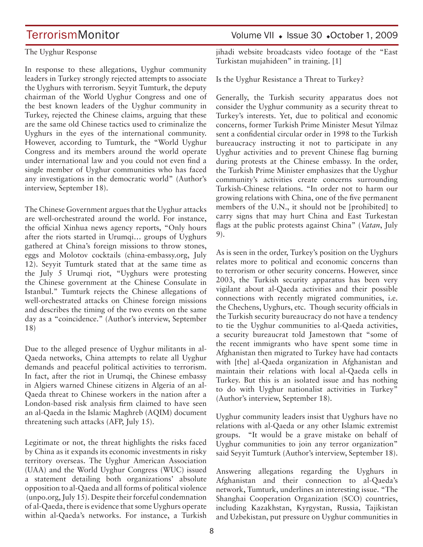### The Uyghur Response

In response to these allegations, Uyghur community leaders in Turkey strongly rejected attempts to associate the Uyghurs with terrorism. Seyyit Tumturk, the deputy chairman of the World Uyghur Congress and one of the best known leaders of the Uyghur community in Turkey, rejected the Chinese claims, arguing that these are the same old Chinese tactics used to criminalize the Uyghurs in the eyes of the international community. However, according to Tumturk, the "World Uyghur Congress and its members around the world operate under international law and you could not even find a single member of Uyghur communities who has faced any investigations in the democratic world" (Author's interview, September 18).

The Chinese Government argues that the Uyghur attacks are well-orchestrated around the world. For instance, the official Xinhua news agency reports, "Only hours after the riots started in Urumqi… groups of Uyghurs gathered at China's foreign missions to throw stones, eggs and Molotov cocktails (china-embassy.org, July 12). Seyyit Tumturk stated that at the same time as the July 5 Urumqi riot, "Uyghurs were protesting the Chinese government at the Chinese Consulate in Istanbul." Tumturk rejects the Chinese allegations of well-orchestrated attacks on Chinese foreign missions and describes the timing of the two events on the same day as a "coincidence." (Author's interview, September 18)

Due to the alleged presence of Uyghur militants in al-Qaeda networks, China attempts to relate all Uyghur demands and peaceful political activities to terrorism. In fact, after the riot in Urumqi, the Chinese embassy in Algiers warned Chinese citizens in Algeria of an al-Qaeda threat to Chinese workers in the nation after a London-based risk analysis firm claimed to have seen an al-Qaeda in the Islamic Maghreb (AQIM) document threatening such attacks (AFP, July 15).

Legitimate or not, the threat highlights the risks faced by China as it expands its economic investments in risky territory overseas. The Uyghur American Association (UAA) and the World Uyghur Congress (WUC) issued a statement detailing both organizations' absolute opposition to al-Qaeda and all forms of political violence (unpo.org, July 15). Despite their forceful condemnation of al-Qaeda, there is evidence that some Uyghurs operate within al-Qaeda's networks. For instance, a Turkish

# TerrorismMonitor Volume VII + Issue 30 +October 1, 2009

jihadi website broadcasts video footage of the "East Turkistan mujahideen" in training. [1]

Is the Uyghur Resistance a Threat to Turkey?

Generally, the Turkish security apparatus does not consider the Uyghur community as a security threat to Turkey's interests. Yet, due to political and economic concerns, former Turkish Prime Minister Mesut Yilmaz sent a confidential circular order in 1998 to the Turkish bureaucracy instructing it not to participate in any Uyghur activities and to prevent Chinese flag burning during protests at the Chinese embassy. In the order, the Turkish Prime Minister emphasizes that the Uyghur community's activities create concerns surrounding Turkish-Chinese relations. "In order not to harm our growing relations with China, one of the five permanent members of the U.N., it should not be [prohibited] to carry signs that may hurt China and East Turkestan flags at the public protests against China" (*Vatan*, July 9).

As is seen in the order, Turkey's position on the Uyghurs relates more to political and economic concerns than to terrorism or other security concerns. However, since 2003, the Turkish security apparatus has been very vigilant about al-Qaeda activities and their possible connections with recently migrated communities, i.e. the Chechens, Uyghurs, etc. Though security officials in the Turkish security bureaucracy do not have a tendency to tie the Uyghur communities to al-Qaeda activities, a security bureaucrat told Jamestown that "some of the recent immigrants who have spent some time in Afghanistan then migrated to Turkey have had contacts with [the] al-Qaeda organization in Afghanistan and maintain their relations with local al-Qaeda cells in Turkey. But this is an isolated issue and has nothing to do with Uyghur nationalist activities in Turkey" (Author's interview, September 18).

Uyghur community leaders insist that Uyghurs have no relations with al-Qaeda or any other Islamic extremist groups. "It would be a grave mistake on behalf of Uyghur communities to join any terror organization" said Seyyit Tumturk (Author's interview, September 18).

Answering allegations regarding the Uyghurs in Afghanistan and their connection to al-Qaeda's network, Tumturk, underlines an interesting issue. "The Shanghai Cooperation Organization (SCO) countries, including Kazakhstan, Kyrgystan, Russia, Tajikistan and Uzbekistan, put pressure on Uyghur communities in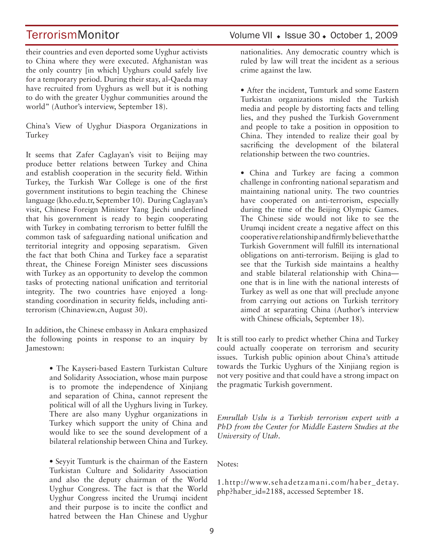their countries and even deported some Uyghur activists to China where they were executed. Afghanistan was the only country [in which] Uyghurs could safely live for a temporary period. During their stay, al-Qaeda may have recruited from Uyghurs as well but it is nothing to do with the greater Uyghur communities around the world" (Author's interview, September 18).

China's View of Uyghur Diaspora Organizations in Turkey

It seems that Zafer Caglayan's visit to Beijing may produce better relations between Turkey and China and establish cooperation in the security field. Within Turkey, the Turkish War College is one of the first government institutions to begin teaching the Chinese language (kho.edu.tr, September 10). During Caglayan's visit, Chinese Foreign Minister Yang Jiechi underlined that his government is ready to begin cooperating with Turkey in combating terrorism to better fulfill the common task of safeguarding national unification and territorial integrity and opposing separatism. Given the fact that both China and Turkey face a separatist threat, the Chinese Foreign Minister sees discussions with Turkey as an opportunity to develop the common tasks of protecting national unification and territorial integrity. The two countries have enjoyed a longstanding coordination in security fields, including antiterrorism (Chinaview.cn, August 30).

In addition, the Chinese embassy in Ankara emphasized the following points in response to an inquiry by Jamestown:

> • The Kayseri-based Eastern Turkistan Culture and Solidarity Association, whose main purpose is to promote the independence of Xinjiang and separation of China, cannot represent the political will of all the Uyghurs living in Turkey. There are also many Uyghur organizations in Turkey which support the unity of China and would like to see the sound development of a bilateral relationship between China and Turkey.

> • Seyyit Tumturk is the chairman of the Eastern Turkistan Culture and Solidarity Association and also the deputy chairman of the World Uyghur Congress. The fact is that the World Uyghur Congress incited the Urumqi incident and their purpose is to incite the conflict and hatred between the Han Chinese and Uyghur

nationalities. Any democratic country which is ruled by law will treat the incident as a serious crime against the law.

• After the incident, Tumturk and some Eastern Turkistan organizations misled the Turkish media and people by distorting facts and telling lies, and they pushed the Turkish Government and people to take a position in opposition to China. They intended to realize their goal by sacrificing the development of the bilateral relationship between the two countries.

• China and Turkey are facing a common challenge in confronting national separatism and maintaining national unity. The two countries have cooperated on anti-terrorism, especially during the time of the Beijing Olympic Games. The Chinese side would not like to see the Urumqi incident create a negative affect on this cooperative relationship and firmly believe that the Turkish Government will fulfill its international obligations on anti-terrorism. Beijing is glad to see that the Turkish side maintains a healthy and stable bilateral relationship with China one that is in line with the national interests of Turkey as well as one that will preclude anyone from carrying out actions on Turkish territory aimed at separating China (Author's interview with Chinese officials, September 18).

It is still too early to predict whether China and Turkey could actually cooperate on terrorism and security issues. Turkish public opinion about China's attitude towards the Turkic Uyghurs of the Xinjiang region is not very positive and that could have a strong impact on the pragmatic Turkish government.

*Emrullah Uslu is a Turkish terrorism expert with a PhD from the Center for Middle Eastern Studies at the University of Utah.*

Notes:

1.http://www.sehadetzamani.com/haber\_detay. php?haber\_id=2188, accessed September 18.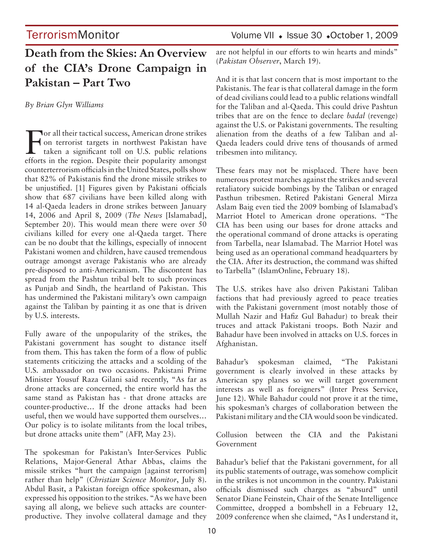# **Death from the Skies: An Overview of the CIA's Drone Campaign in Pakistan – Part Two**

*By Brian Glyn Williams* 

For all their tactical success, American drone strikes<br>
on terrorist targets in northwest Pakistan have<br>
taken a significant toll on U.S. public relations<br>
afforts in the racion Despite their nonvlative amongst on terrorist targets in northwest Pakistan have taken a significant toll on U.S. public relations efforts in the region. Despite their popularity amongst counterterrorism officials in the United States, polls show that 82% of Pakistanis find the drone missile strikes to be unjustified. [1] Figures given by Pakistani officials show that 687 civilians have been killed along with 14 al-Qaeda leaders in drone strikes between January 14, 2006 and April 8, 2009 (*The News* [Islamabad], September 20). This would mean there were over 50 civilians killed for every one al-Qaeda target. There can be no doubt that the killings, especially of innocent Pakistani women and children, have caused tremendous outrage amongst average Pakistanis who are already pre-disposed to anti-Americanism. The discontent has spread from the Pashtun tribal belt to such provinces as Punjab and Sindh, the heartland of Pakistan. This has undermined the Pakistani military's own campaign against the Taliban by painting it as one that is driven by U.S. interests.

Fully aware of the unpopularity of the strikes, the Pakistani government has sought to distance itself from them. This has taken the form of a flow of public statements criticizing the attacks and a scolding of the U.S. ambassador on two occasions. Pakistani Prime Minister Yousuf Raza Gilani said recently, "As far as drone attacks are concerned, the entire world has the same stand as Pakistan has - that drone attacks are counter-productive… If the drone attacks had been useful, then we would have supported them ourselves… Our policy is to isolate militants from the local tribes, but drone attacks unite them" (AFP, May 23).

The spokesman for Pakistan's Inter-Services Public Relations, Major-General Athar Abbas, claims the missile strikes "hurt the campaign [against terrorism] rather than help" (*Christian Science Monitor*, July 8). Abdul Basit, a Pakistan foreign office spokesman, also expressed his opposition to the strikes. "As we have been saying all along, we believe such attacks are counterproductive. They involve collateral damage and they

are not helpful in our efforts to win hearts and minds" (*Pakistan Observer*, March 19).

And it is that last concern that is most important to the Pakistanis. The fear is that collateral damage in the form of dead civilians could lead to a public relations windfall for the Taliban and al-Qaeda. This could drive Pashtun tribes that are on the fence to declare *badal* (revenge) against the U.S. or Pakistani governments. The resulting alienation from the deaths of a few Taliban and al-Qaeda leaders could drive tens of thousands of armed tribesmen into militancy.

These fears may not be misplaced. There have been numerous protest marches against the strikes and several retaliatory suicide bombings by the Taliban or enraged Pasthun tribesmen. Retired Pakistani General Mirza Aslam Baig even tied the 2009 bombing of Islamabad's Marriot Hotel to American drone operations. "The CIA has been using our bases for drone attacks and the operational command of drone attacks is operating from Tarbella, near Islamabad. The Marriot Hotel was being used as an operational command headquarters by the CIA. After its destruction, the command was shifted to Tarbella" (IslamOnline, February 18).

The U.S. strikes have also driven Pakistani Taliban factions that had previously agreed to peace treaties with the Pakistani government (most notably those of Mullah Nazir and Hafiz Gul Bahadur) to break their truces and attack Pakistani troops. Both Nazir and Bahadur have been involved in attacks on U.S. forces in Afghanistan.

Bahadur's spokesman claimed, "The Pakistani government is clearly involved in these attacks by American spy planes so we will target government interests as well as foreigners" (Inter Press Service, June 12). While Bahadur could not prove it at the time, his spokesman's charges of collaboration between the Pakistani military and the CIA would soon be vindicated.

Collusion between the CIA and the Pakistani Government

Bahadur's belief that the Pakistani government, for all its public statements of outrage, was somehow complicit in the strikes is not uncommon in the country. Pakistani officials dismissed such charges as "absurd" until Senator Diane Feinstein, Chair of the Senate Intelligence Committee, dropped a bombshell in a February 12, 2009 conference when she claimed, "As I understand it,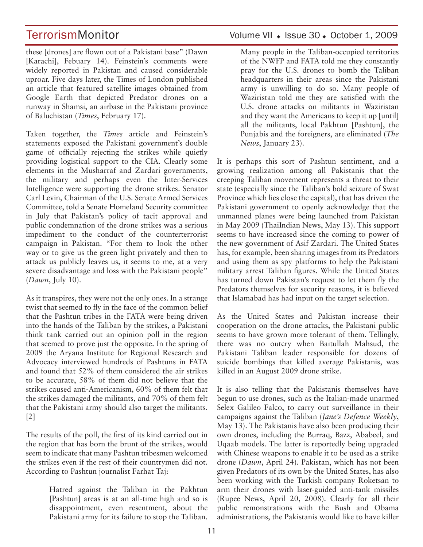these [drones] are flown out of a Pakistani base" (Dawn [Karachi], Febuary 14). Feinstein's comments were widely reported in Pakistan and caused considerable uproar. Five days later, the Times of London published an article that featured satellite images obtained from Google Earth that depicted Predator drones on a runway in Shamsi, an airbase in the Pakistani province of Baluchistan (*Times*, February 17).

Taken together, the *Times* article and Feinstein's statements exposed the Pakistani government's double game of officially rejecting the strikes while quietly providing logistical support to the CIA. Clearly some elements in the Musharraf and Zardari governments, the military and perhaps even the Inter-Services Intelligence were supporting the drone strikes. Senator Carl Levin, Chairman of the U.S. Senate Armed Services Committee, told a Senate Homeland Security committee in July that Pakistan's policy of tacit approval and public condemnation of the drone strikes was a serious impediment to the conduct of the counterterrorist campaign in Pakistan. "For them to look the other way or to give us the green light privately and then to attack us publicly leaves us, it seems to me, at a very severe disadvantage and loss with the Pakistani people" (*Dawn*, July 10).

As it transpires, they were not the only ones. In a strange twist that seemed to fly in the face of the common belief that the Pashtun tribes in the FATA were being driven into the hands of the Taliban by the strikes, a Pakistani think tank carried out an opinion poll in the region that seemed to prove just the opposite. In the spring of 2009 the Aryana Institute for Regional Research and Advocacy interviewed hundreds of Pashtuns in FATA and found that 52% of them considered the air strikes to be accurate, 58% of them did not believe that the strikes caused anti-Americanism, 60% of them felt that the strikes damaged the militants, and 70% of them felt that the Pakistani army should also target the militants. [2]

The results of the poll, the first of its kind carried out in the region that has born the brunt of the strikes, would seem to indicate that many Pashtun tribesmen welcomed the strikes even if the rest of their countrymen did not. According to Pashtun journalist Farhat Taj:

> Hatred against the Taliban in the Pakhtun [Pashtun] areas is at an all-time high and so is disappointment, even resentment, about the Pakistani army for its failure to stop the Taliban.

### TerrorismMonitor Volume VII + Issue 30 + October 1, 2009

Many people in the Taliban-occupied territories of the NWFP and FATA told me they constantly pray for the U.S. drones to bomb the Taliban headquarters in their areas since the Pakistani army is unwilling to do so. Many people of Waziristan told me they are satisfied with the U.S. drone attacks on militants in Waziristan and they want the Americans to keep it up [until] all the militants, local Pakhtun [Pashtun], the Punjabis and the foreigners, are eliminated (*The News*, January 23).

It is perhaps this sort of Pashtun sentiment, and a growing realization among all Pakistanis that the creeping Taliban movement represents a threat to their state (especially since the Taliban's bold seizure of Swat Province which lies close the capital), that has driven the Pakistani government to openly acknowledge that the unmanned planes were being launched from Pakistan in May 2009 (ThaiIndian News, May 13). This support seems to have increased since the coming to power of the new government of Asif Zardari. The United States has, for example, been sharing images from its Predators and using them as spy platforms to help the Pakistani military arrest Taliban figures. While the United States has turned down Pakistan's request to let them fly the Predators themselves for security reasons, it is believed that Islamabad has had input on the target selection.

As the United States and Pakistan increase their cooperation on the drone attacks, the Pakistani public seems to have grown more tolerant of them. Tellingly, there was no outcry when Baitullah Mahsud, the Pakistani Taliban leader responsible for dozens of suicide bombings that killed average Pakistanis, was killed in an August 2009 drone strike.

It is also telling that the Pakistanis themselves have begun to use drones, such as the Italian-made unarmed Selex Galileo Falco, to carry out surveillance in their campaigns against the Taliban (*Jane's Defence Weekly*, May 13). The Pakistanis have also been producing their own drones, including the Burraq, Bazz, Ababeel, and Uqaab models. The latter is reportedly being upgraded with Chinese weapons to enable it to be used as a strike drone (*Dawn*, April 24). Pakistan, which has not been given Predators of its own by the United States, has also been working with the Turkish company Roketsan to arm their drones with laser-guided anti-tank missiles (Rupee News, April 20, 2008). Clearly for all their public remonstrations with the Bush and Obama administrations, the Pakistanis would like to have killer